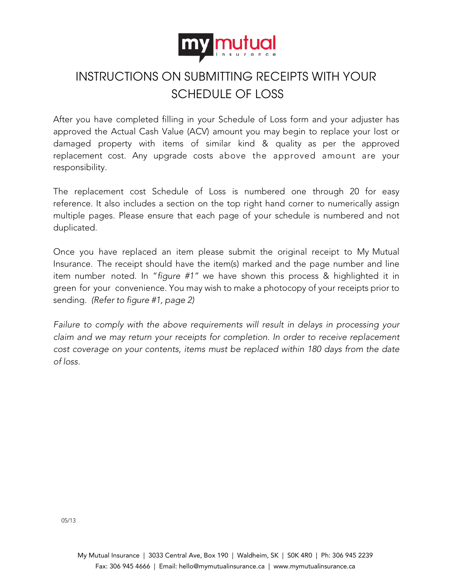

## INSTRUCTIONS ON SUBMITTING RECEIPTS WITH YOUR SCHEDULE OF LOSS

After you have completed filling in your Schedule of Loss form and your adjuster has approved the Actual Cash Value (ACV) amount you may begin to replace your lost or damaged property with items of similar kind & quality as per the approved replacement cost. Any upgrade costs above the approved amount are your responsibility.

The replacement cost Schedule of Loss is numbered one through 20 for easy reference. It also includes a section on the top right hand corner to numerically assign multiple pages. Please ensure that each page of your schedule is numbered and not duplicated.

Once you have replaced an item please submit the original receipt to My Mutual Insurance. The receipt should have the item(s) marked and the page number and line item number noted. In "*figure #1"* we have shown this process & highlighted it in green for your convenience. You may wish to make a photocopy of your receipts prior to sending. *(Refer to figure #1, page 2)*

*Failure to comply with the above requirements will result in delays in processing your claim and we may return your receipts for completion. In order to receive replacement cost coverage on your contents, items must be replaced within 180 days from the date of loss.*